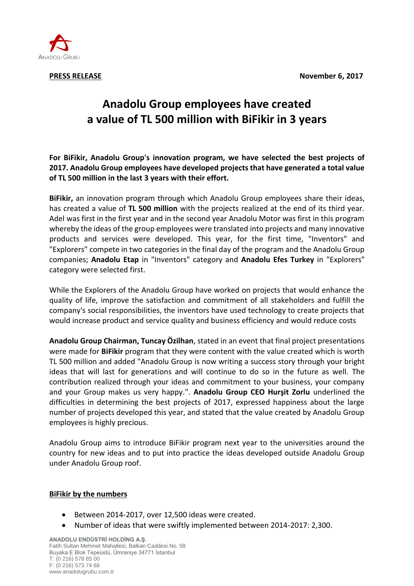

# **Anadolu Group employees have created a value of TL 500 million with BiFikir in 3 years**

**For BiFikir, Anadolu Group's innovation program, we have selected the best projects of 2017. Anadolu Group employees have developed projects that have generated a total value of TL 500 million in the last 3 years with their effort.**

**BiFikir,** an innovation program through which Anadolu Group employees share their ideas, has created a value of **TL 500 million** with the projects realized at the end of its third year. Adel was first in the first year and in the second year Anadolu Motor was first in this program whereby the ideas of the group employees were translated into projects and many innovative products and services were developed. This year, for the first time, "Inventors" and "Explorers" compete in two categories in the final day of the program and the Anadolu Group companies; **Anadolu Etap** in "Inventors" category and **Anadolu Efes Turkey** in "Explorers" category were selected first.

While the Explorers of the Anadolu Group have worked on projects that would enhance the quality of life, improve the satisfaction and commitment of all stakeholders and fulfill the company's social responsibilities, the inventors have used technology to create projects that would increase product and service quality and business efficiency and would reduce costs

**Anadolu Group Chairman, Tuncay Özilhan**, stated in an event that final project presentations were made for **BiFikir** program that they were content with the value created which is worth TL 500 million and added "Anadolu Group is now writing a success story through your bright ideas that will last for generations and will continue to do so in the future as well. The contribution realized through your ideas and commitment to your business, your company and your Group makes us very happy.". **Anadolu Group CEO Hurşit Zorlu** underlined the difficulties in determining the best projects of 2017, expressed happiness about the large number of projects developed this year, and stated that the value created by Anadolu Group employees is highly precious.

Anadolu Group aims to introduce BiFikir program next year to the universities around the country for new ideas and to put into practice the ideas developed outside Anadolu Group under Anadolu Group roof.

## **BiFikir by the numbers**

- Between 2014-2017, over 12,500 ideas were created.
- Number of ideas that were swiftly implemented between 2014-2017: 2,300.